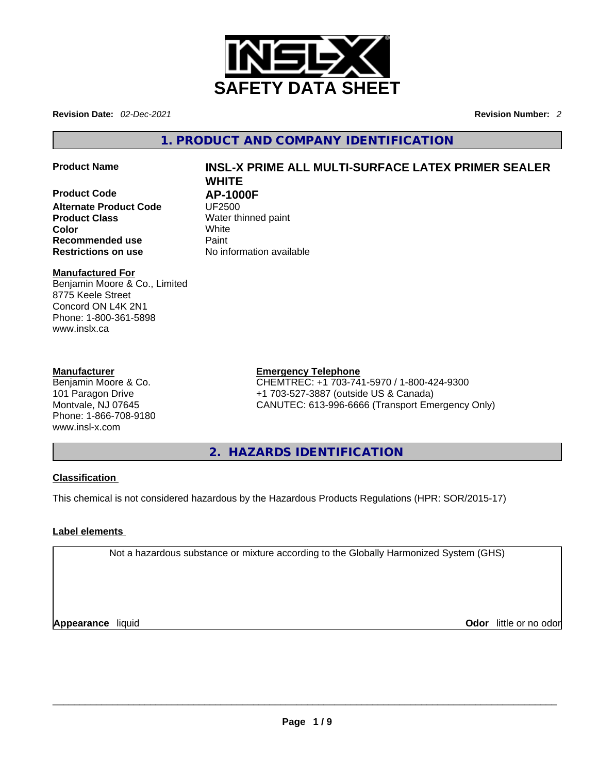

**Revision Date:** *02-Dec-2021* **Revision Number:** *2*

**1. PRODUCT AND COMPANY IDENTIFICATION** 

**Product Code AP-1000F Alternate Product Code** UF2500 **Product Class Water thinned paint Color** White **Recommended use <b>Paint Restrictions on use** No information available

# **Product Name INSL-X PRIME ALL MULTI-SURFACE LATEX PRIMER SEALER WHITE**

# **Manufactured For**

Benjamin Moore & Co., Limited 8775 Keele Street Concord ON L4K 2N1 Phone: 1-800-361-5898 www.inslx.ca

# **Manufacturer**

Benjamin Moore & Co. 101 Paragon Drive Montvale, NJ 07645 Phone: 1-866-708-9180 www.insl-x.com

# **Emergency Telephone**

CHEMTREC: +1 703-741-5970 / 1-800-424-9300 +1 703-527-3887 (outside US & Canada) CANUTEC: 613-996-6666 (Transport Emergency Only)

**2. HAZARDS IDENTIFICATION** 

# **Classification**

This chemical is not considered hazardous by the Hazardous Products Regulations (HPR: SOR/2015-17)

# **Label elements**

Not a hazardous substance or mixture according to the Globally Harmonized System (GHS)

**Appearance** liquid \_\_\_\_\_\_\_\_\_\_\_\_\_\_\_\_\_\_\_\_\_\_\_\_\_\_\_\_\_\_\_\_\_\_\_\_\_\_\_\_\_\_\_\_\_\_\_\_\_\_\_\_\_\_\_\_\_\_\_\_\_\_\_\_\_\_\_\_\_\_\_\_\_\_\_\_\_\_\_\_\_\_\_\_\_\_\_\_\_\_\_\_\_ **Odor** little or no odor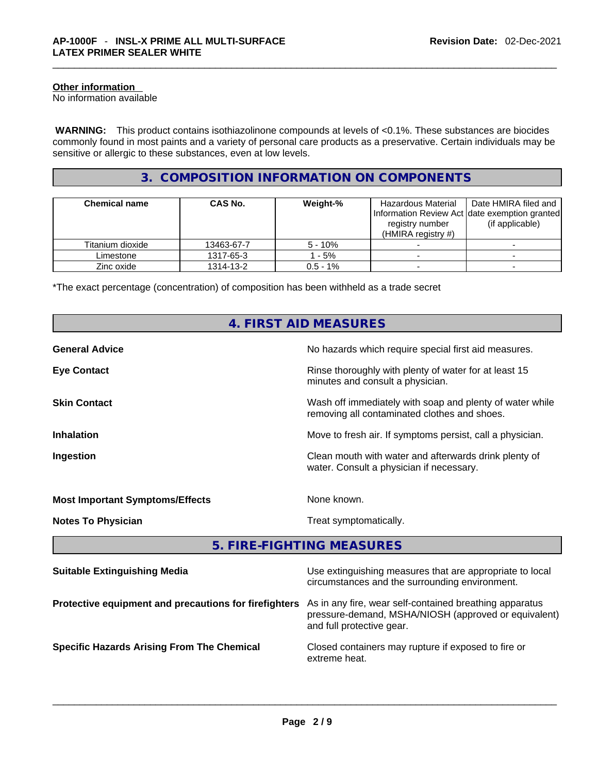## **Other information**

No information available

 **WARNING:** This product contains isothiazolinone compounds at levels of <0.1%. These substances are biocides commonly found in most paints and a variety of personal care products as a preservative. Certain individuals may be sensitive or allergic to these substances, even at low levels.

# **3. COMPOSITION INFORMATION ON COMPONENTS**

| <b>Chemical name</b> | <b>CAS No.</b> | Weight-%   | Hazardous Material<br>Information Review Act date exemption granted<br>registry number<br>(HMIRA registry $#$ ) | Date HMIRA filed and<br>(if applicable) |
|----------------------|----------------|------------|-----------------------------------------------------------------------------------------------------------------|-----------------------------------------|
| Titanium dioxide     | 13463-67-7     | $5 - 10%$  |                                                                                                                 |                                         |
| Limestone            | 1317-65-3      | - 5%       |                                                                                                                 |                                         |
| Zinc oxide           | 1314-13-2      | $0.5 - 1%$ |                                                                                                                 |                                         |

\*The exact percentage (concentration) of composition has been withheld as a trade secret

# **4. FIRST AID MEASURES**

| <b>General Advice</b>                  | No hazards which require special first aid measures.                                                     |
|----------------------------------------|----------------------------------------------------------------------------------------------------------|
| <b>Eye Contact</b>                     | Rinse thoroughly with plenty of water for at least 15<br>minutes and consult a physician.                |
| <b>Skin Contact</b>                    | Wash off immediately with soap and plenty of water while<br>removing all contaminated clothes and shoes. |
| <b>Inhalation</b>                      | Move to fresh air. If symptoms persist, call a physician.                                                |
| Ingestion                              | Clean mouth with water and afterwards drink plenty of<br>water. Consult a physician if necessary.        |
| <b>Most Important Symptoms/Effects</b> | None known.                                                                                              |
| <b>Notes To Physician</b>              | Treat symptomatically.                                                                                   |

# **5. FIRE-FIGHTING MEASURES**

| <b>Suitable Extinguishing Media</b>                   | Use extinguishing measures that are appropriate to local<br>circumstances and the surrounding environment.                                   |
|-------------------------------------------------------|----------------------------------------------------------------------------------------------------------------------------------------------|
| Protective equipment and precautions for firefighters | As in any fire, wear self-contained breathing apparatus<br>pressure-demand, MSHA/NIOSH (approved or equivalent)<br>and full protective gear. |
| <b>Specific Hazards Arising From The Chemical</b>     | Closed containers may rupture if exposed to fire or<br>extreme heat.                                                                         |
|                                                       |                                                                                                                                              |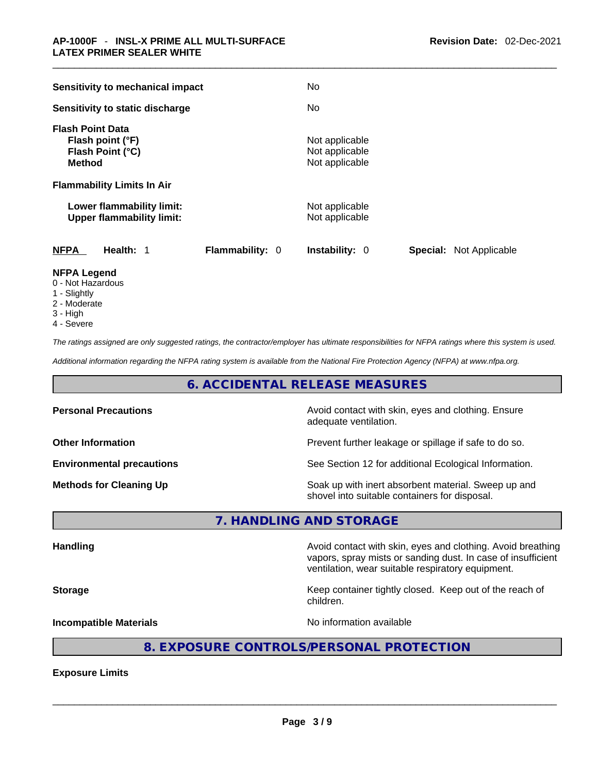| <b>Sensitivity to mechanical impact</b>                                          | No                                                      |
|----------------------------------------------------------------------------------|---------------------------------------------------------|
| Sensitivity to static discharge                                                  | No.                                                     |
| <b>Flash Point Data</b><br>Flash point (°F)<br>Flash Point (°C)<br><b>Method</b> | Not applicable<br>Not applicable<br>Not applicable      |
| <b>Flammability Limits In Air</b>                                                |                                                         |
| Lower flammability limit:<br><b>Upper flammability limit:</b>                    | Not applicable<br>Not applicable                        |
| <b>NFPA</b><br>Health: 1<br>Flammability: 0                                      | <b>Instability: 0</b><br><b>Special: Not Applicable</b> |
| <b>NFPA Legend</b>                                                               |                                                         |

- 0 Not Hazardous
- 1 Slightly
- 2 Moderate
- 3 High
- 4 Severe

*The ratings assigned are only suggested ratings, the contractor/employer has ultimate responsibilities for NFPA ratings where this system is used.* 

*Additional information regarding the NFPA rating system is available from the National Fire Protection Agency (NFPA) at www.nfpa.org.* 

# **6. ACCIDENTAL RELEASE MEASURES**

| <b>Personal Precautions</b>      | Avoid contact with skin, eyes and clothing. Ensure<br>adequate ventilation.                          |
|----------------------------------|------------------------------------------------------------------------------------------------------|
| <b>Other Information</b>         | Prevent further leakage or spillage if safe to do so.                                                |
| <b>Environmental precautions</b> | See Section 12 for additional Ecological Information.                                                |
| <b>Methods for Cleaning Up</b>   | Soak up with inert absorbent material. Sweep up and<br>shovel into suitable containers for disposal. |

**7. HANDLING AND STORAGE** 

| <b>Handling</b>               | Avoid contact with skin, eyes and clothing. Avoid breathing<br>vapors, spray mists or sanding dust. In case of insufficient<br>ventilation, wear suitable respiratory equipment. |
|-------------------------------|----------------------------------------------------------------------------------------------------------------------------------------------------------------------------------|
| <b>Storage</b>                | Keep container tightly closed. Keep out of the reach of<br>children.                                                                                                             |
| <b>Incompatible Materials</b> | No information available                                                                                                                                                         |
|                               |                                                                                                                                                                                  |

# **8. EXPOSURE CONTROLS/PERSONAL PROTECTION**

**Exposure Limits**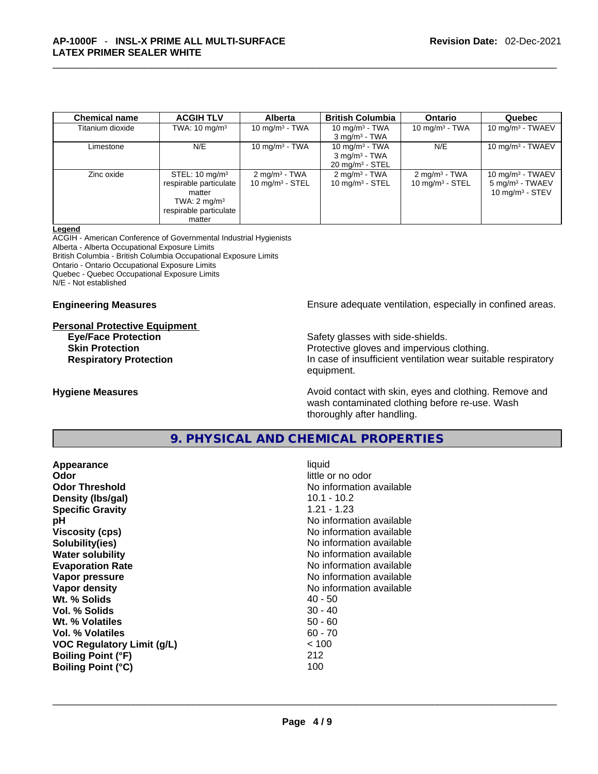| <b>Chemical name</b> | <b>ACGIH TLV</b>          | <b>Alberta</b>             | <b>British Columbia</b>     | <b>Ontario</b>             | Quebec                     |
|----------------------|---------------------------|----------------------------|-----------------------------|----------------------------|----------------------------|
| Titanium dioxide     | TWA: $10 \text{ mg/m}^3$  | 10 mg/m $3$ - TWA          | 10 mg/m $3$ - TWA           | 10 mg/m $3$ - TWA          | 10 mg/m $3$ - TWAEV        |
|                      |                           |                            | $3$ mg/m <sup>3</sup> - TWA |                            |                            |
| Limestone            | N/E                       | 10 mg/m $3$ - TWA          | 10 mg/m $3$ - TWA           | N/E                        | 10 mg/m $3$ - TWAEV        |
|                      |                           |                            | $3$ mg/m <sup>3</sup> - TWA |                            |                            |
|                      |                           |                            | $20 \text{ mg/m}^3$ - STEL  |                            |                            |
| Zinc oxide           | STEL: $10 \text{ mg/m}^3$ | $2 \text{ mg/m}^3$ - TWA   | $2 \text{ mg/m}^3$ - TWA    | $2 \text{ mg/m}^3$ - TWA   | 10 mg/m $3$ - TWAEV        |
|                      | respirable particulate    | $10 \text{ mg/m}^3$ - STEL | $10 \text{ mg/m}^3$ - STEL  | $10 \text{ mg/m}^3$ - STEL | $5 \text{ mg/m}^3$ - TWAEV |
|                      | matter                    |                            |                             |                            | 10 mg/m $3 -$ STEV         |
|                      | TWA: $2 \text{ mg/m}^3$   |                            |                             |                            |                            |
|                      | respirable particulate    |                            |                             |                            |                            |
|                      | matter                    |                            |                             |                            |                            |

#### **Legend**

ACGIH - American Conference of Governmental Industrial Hygienists Alberta - Alberta Occupational Exposure Limits British Columbia - British Columbia Occupational Exposure Limits Ontario - Ontario Occupational Exposure Limits Quebec - Quebec Occupational Exposure Limits N/E - Not established

#### **Personal Protective Equipment**

**Engineering Measures Ensure** Ensure adequate ventilation, especially in confined areas.

**Eye/Face Protection Safety glasses with side-shields. Skin Protection Protection Protective gloves and impervious clothing. Respiratory Protection In case of insufficient ventilation wear suitable respiratory** equipment.

**Hygiene Measures Avoid contact with skin, eyes and clothing. Remove and Avoid contact with skin, eyes and clothing. Remove and** wash contaminated clothing before re-use. Wash thoroughly after handling.

**9. PHYSICAL AND CHEMICAL PROPERTIES** 

| Appearance                        | liquid                   |
|-----------------------------------|--------------------------|
| Odor                              | little or no odor        |
| <b>Odor Threshold</b>             | No information available |
| Density (Ibs/gal)                 | $10.1 - 10.2$            |
| <b>Specific Gravity</b>           | $1.21 - 1.23$            |
| рH                                | No information available |
| <b>Viscosity (cps)</b>            | No information available |
| Solubility(ies)                   | No information available |
| <b>Water solubility</b>           | No information available |
| <b>Evaporation Rate</b>           | No information available |
| Vapor pressure                    | No information available |
| Vapor density                     | No information available |
| Wt. % Solids                      | 40 - 50                  |
| Vol. % Solids                     | $30 - 40$                |
| Wt. % Volatiles                   | $50 - 60$                |
| Vol. % Volatiles                  | $60 - 70$                |
| <b>VOC Regulatory Limit (g/L)</b> | < 100                    |
| <b>Boiling Point (°F)</b>         | 212                      |
| <b>Boiling Point (°C)</b>         | 100                      |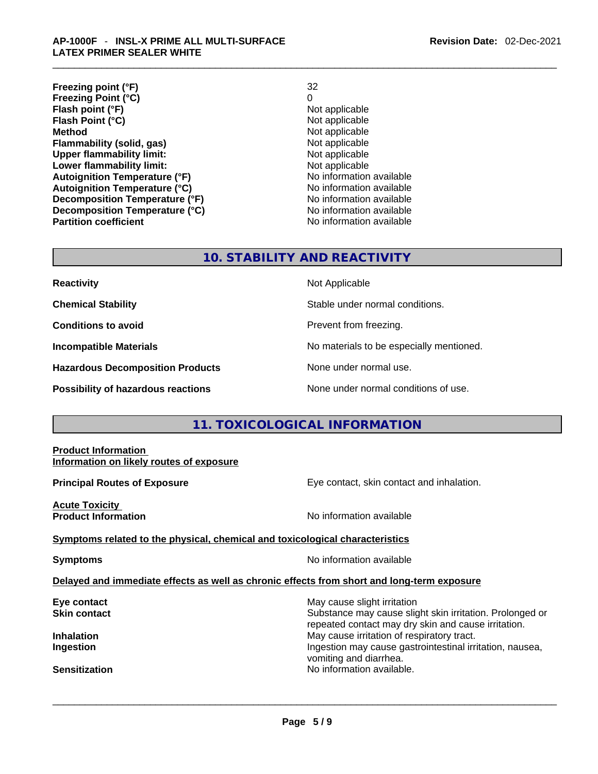**Freezing point (°F)** 32 **Freezing Point (°C)** 0 **Flash point (°F) Flash Point (°C)** Not applicable **Method Not applicable**<br> **Plammability (solid, gas)** Not applicable **Not applicable Flammability (solid, gas)** Not applicable Not applicable<br>
Upper flammability limit: Not applicable **Upper flammability limit: Lower flammability limit:**<br> **Autoignition Temperature (°F)**<br>
Mo information available **Autoignition Temperature (°F) Autoignition Temperature (°C)** No information available **Decomposition Temperature (°F)**<br> **Decomposition Temperature (°C)** No information available **Decomposition Temperature (°C)**<br>Partition coefficient

#### **Revision Date:** 02-Dec-2021

**No information available** 

# **10. STABILITY AND REACTIVITY**

| <b>Reactivity</b>                       | Not Applicable                           |
|-----------------------------------------|------------------------------------------|
| <b>Chemical Stability</b>               | Stable under normal conditions.          |
| <b>Conditions to avoid</b>              | Prevent from freezing.                   |
| <b>Incompatible Materials</b>           | No materials to be especially mentioned. |
| <b>Hazardous Decomposition Products</b> | None under normal use.                   |
| Possibility of hazardous reactions      | None under normal conditions of use.     |

# **11. TOXICOLOGICAL INFORMATION**

### **Product Information Information on likely routes of exposure**

**Principal Routes of Exposure Exposure** Eye contact, skin contact and inhalation.

**Acute Toxicity Product Information Information Information No information available** 

**Symptoms related to the physical,chemical and toxicological characteristics**

**Symptoms No information available** 

# **Delayed and immediate effects as well as chronic effects from short and long-term exposure**

**Eye contact Exercise 3 May cause slight irritation Skin contact Substance may cause slight skin irritation. Prolonged or** Substance may cause slight skin irritation. Prolonged or repeated contact may dry skin and cause irritation. **Inhalation Inhalation Inhalation May cause irritation of respiratory tract. Ingestion Ingestion Index is a structure of the line of the line of the line of the line of the line of the line of the line of the line of the line of the line of the line of the line of the line of the line of the l** vomiting and diarrhea.<br>No information available. **Sensitization** No information available. \_\_\_\_\_\_\_\_\_\_\_\_\_\_\_\_\_\_\_\_\_\_\_\_\_\_\_\_\_\_\_\_\_\_\_\_\_\_\_\_\_\_\_\_\_\_\_\_\_\_\_\_\_\_\_\_\_\_\_\_\_\_\_\_\_\_\_\_\_\_\_\_\_\_\_\_\_\_\_\_\_\_\_\_\_\_\_\_\_\_\_\_\_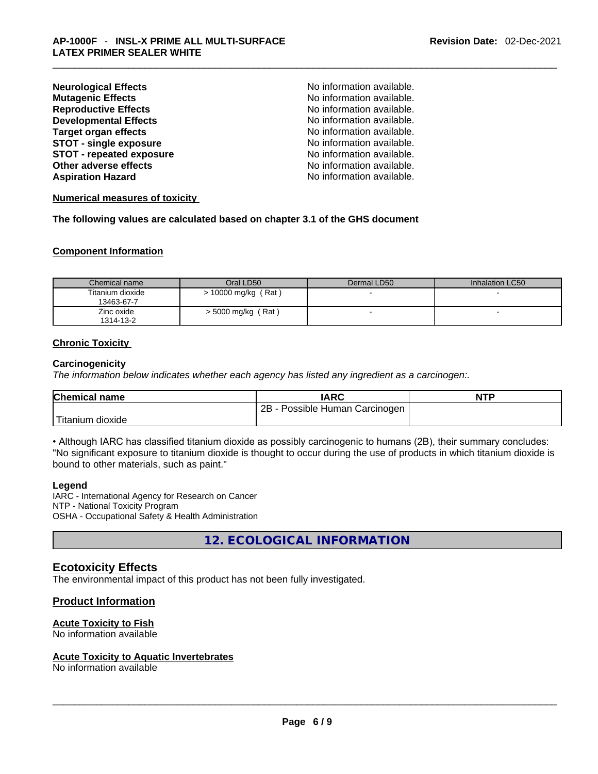| <b>Neurological Effects</b>     | No information available. |
|---------------------------------|---------------------------|
| <b>Mutagenic Effects</b>        | No information available. |
| <b>Reproductive Effects</b>     | No information available. |
| <b>Developmental Effects</b>    | No information available. |
| Target organ effects            | No information available. |
| <b>STOT - single exposure</b>   | No information available. |
| <b>STOT - repeated exposure</b> | No information available. |
| Other adverse effects           | No information available. |
| <b>Aspiration Hazard</b>        | No information available. |
|                                 |                           |

#### **Numerical measures of toxicity**

**The following values are calculated based on chapter 3.1 of the GHS document**

#### **Component Information**

| Chemical name                  | Oral LD50                 | Dermal LD50 | Inhalation LC50 |
|--------------------------------|---------------------------|-------------|-----------------|
| Titanium dioxide<br>13463-67-7 | $\cdot$ 10000 mg/kg (Rat) |             |                 |
| Zinc oxide<br>1314-13-2        | $>$ 5000 mg/kg (Rat)      | -           |                 |

#### **Chronic Toxicity**

#### **Carcinogenicity**

*The information below indicates whether each agency has listed any ingredient as a carcinogen:.* 

| <b>Chemical name</b> | <b>IARC</b>                     | <b>NTP</b> |
|----------------------|---------------------------------|------------|
|                      | 2B<br>Possible Human Carcinogen |            |
| Titanium dioxide     |                                 |            |

• Although IARC has classified titanium dioxide as possibly carcinogenic to humans (2B), their summary concludes: "No significant exposure to titanium dioxide is thought to occur during the use of products in which titanium dioxide is bound to other materials, such as paint."

#### **Legend**

IARC - International Agency for Research on Cancer NTP - National Toxicity Program OSHA - Occupational Safety & Health Administration

**12. ECOLOGICAL INFORMATION** 

### **Ecotoxicity Effects**

The environmental impact of this product has not been fully investigated.

# **Product Information**

#### **Acute Toxicity to Fish**

# No information available \_\_\_\_\_\_\_\_\_\_\_\_\_\_\_\_\_\_\_\_\_\_\_\_\_\_\_\_\_\_\_\_\_\_\_\_\_\_\_\_\_\_\_\_\_\_\_\_\_\_\_\_\_\_\_\_\_\_\_\_\_\_\_\_\_\_\_\_\_\_\_\_\_\_\_\_\_\_\_\_\_\_\_\_\_\_\_\_\_\_\_\_\_ **Acute Toxicity to Aquatic Invertebrates**

No information available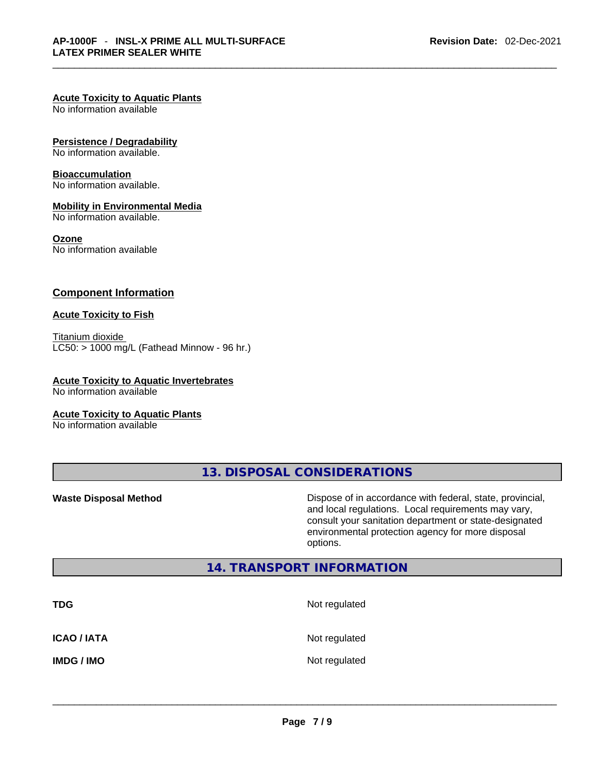#### **Acute Toxicity to Aquatic Plants**

No information available

#### **Persistence / Degradability**

No information available.

#### **Bioaccumulation**

No information available.

#### **Mobility in Environmental Media**

No information available.

#### **Ozone**

No information available

# **Component Information**

#### **Acute Toxicity to Fish**

Titanium dioxide  $LCS0:$  > 1000 mg/L (Fathead Minnow - 96 hr.)

#### **Acute Toxicity to Aquatic Invertebrates**

No information available

#### **Acute Toxicity to Aquatic Plants**

No information available

**13. DISPOSAL CONSIDERATIONS** 

**Waste Disposal Method** Dispose of in accordance with federal, state, provincial, and local regulations. Local requirements may vary, consult your sanitation department or state-designated environmental protection agency for more disposal options.

# **14. TRANSPORT INFORMATION**

| <b>TDG</b>         | Not regulated |
|--------------------|---------------|
| <b>ICAO / IATA</b> | Not regulated |
| <b>IMDG / IMO</b>  | Not regulated |
|                    |               |
|                    |               |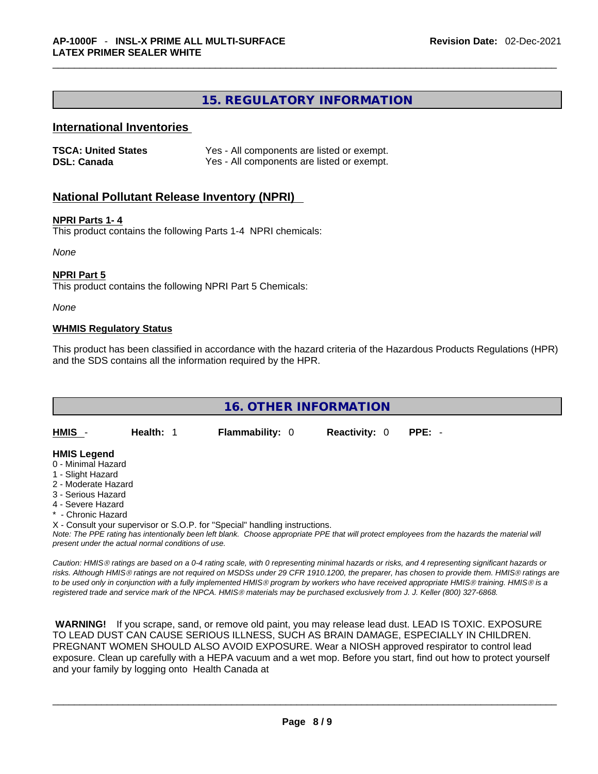# **15. REGULATORY INFORMATION**

## **International Inventories**

| <b>TSCA: United States</b> | Yes - All components are listed or exempt. |
|----------------------------|--------------------------------------------|
| <b>DSL: Canada</b>         | Yes - All components are listed or exempt. |

# **National Pollutant Release Inventory (NPRI)**

### **NPRI Parts 1- 4**

This product contains the following Parts 1-4 NPRI chemicals:

*None*

### **NPRI Part 5**

This product contains the following NPRI Part 5 Chemicals:

*None*

### **WHMIS Regulatory Status**

This product has been classified in accordance with the hazard criteria of the Hazardous Products Regulations (HPR) and the SDS contains all the information required by the HPR.



**- Chronic Hazard** 

X - Consult your supervisor or S.O.P. for "Special" handling instructions.

Note: The PPE rating has intentionally been left blank. Choose appropriate PPE that will protect employees from the hazards the material will *present under the actual normal conditions of use.* 

*Caution: HMISÒ ratings are based on a 0-4 rating scale, with 0 representing minimal hazards or risks, and 4 representing significant hazards or risks. Although HMISÒ ratings are not required on MSDSs under 29 CFR 1910.1200, the preparer, has chosen to provide them. HMISÒ ratings are to be used only in conjunction with a fully implemented HMISÒ program by workers who have received appropriate HMISÒ training. HMISÒ is a registered trade and service mark of the NPCA. HMISÒ materials may be purchased exclusively from J. J. Keller (800) 327-6868.* 

 **WARNING!** If you scrape, sand, or remove old paint, you may release lead dust. LEAD IS TOXIC. EXPOSURE TO LEAD DUST CAN CAUSE SERIOUS ILLNESS, SUCH AS BRAIN DAMAGE, ESPECIALLY IN CHILDREN. PREGNANT WOMEN SHOULD ALSO AVOID EXPOSURE.Wear a NIOSH approved respirator to control lead exposure. Clean up carefully with a HEPA vacuum and a wet mop. Before you start, find out how to protect yourself and your family by logging onto Health Canada at